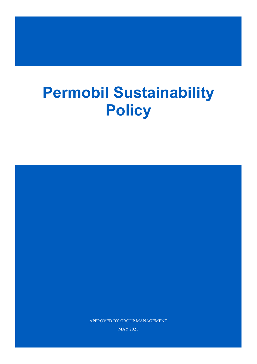# **Permobil Sustainability Policy**

APPROVED BY GROUP MANAGEMENT

MAY 2021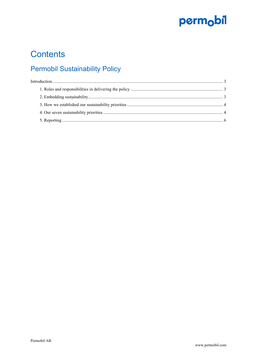

### **Contents**

### **Permobil Sustainability Policy**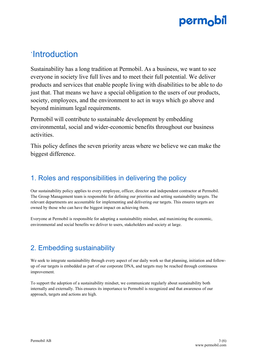### <span id="page-2-0"></span>`Introduction

Sustainability has a long tradition at Permobil. As a business, we want to see everyone in society live full lives and to meet their full potential. We deliver products and services that enable people living with disabilities to be able to do just that. That means we have a special obligation to the users of our products, society, employees, and the environment to act in ways which go above and beyond minimum legal requirements.

Permobil will contribute to sustainable development by embedding environmental, social and wider-economic benefits throughout our business activities.

This policy defines the seven priority areas where we believe we can make the biggest difference.

### <span id="page-2-1"></span>1. Roles and responsibilities in delivering the policy

Our sustainability policy applies to every employee, officer, director and independent contractor at Permobil. The Group Management team is responsible for defining our priorities and setting sustainability targets. The relevant departments are accountable for implementing and delivering our targets. This ensures targets are owned by those who can have the biggest impact on achieving them.

Everyone at Permobil is responsible for adopting a sustainability mindset, and maximizing the economic, environmental and social benefits we deliver to users, stakeholders and society at large.

### <span id="page-2-2"></span>2. Embedding sustainability

We seek to integrate sustainability through every aspect of our daily work so that planning, initiation and followup of our targets is embedded as part of our corporate DNA, and targets may be reached through continuous improvement.

To support the adoption of a sustainability mindset, we communicate regularly about sustainability both internally and externally. This ensures its importance to Permobil is recognized and that awareness of our approach, targets and actions are high.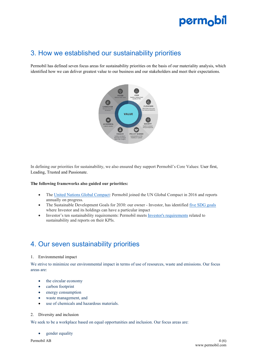### <span id="page-3-0"></span>3. How we established our sustainability priorities

Permobil has defined seven focus areas for sustainability priorities on the basis of our materiality analysis, which identified how we can deliver greatest value to our business and our stakeholders and meet their expectations.



In defining our priorities for sustainability, we also ensured they support Permobil's Core Values: User first, Leading, Trusted and Passionate.

#### **The following frameworks also guided our priorities:**

- The United Nations Global [Compact:](https://www.unglobalcompact.org/what-is-gc/participants/95381) Permobil joined the UN Global Compact in 2016 and reports annually on progress.
- The Sustainable Development Goals for 2030: our owner Investor, has identified [five SDG goals](https://www.investorab.com/sustainability/un-global-goals/) where Investor and its holdings can have a particular impact
- Investor's ten sustainability [requirements](https://www.investorab.com/about-investor/sustainability/): Permobil meets Investor's requirements related to sustainability and reports on their KPIs.

### <span id="page-3-1"></span>4. Our seven sustainability priorities

#### 1. Environmental impact

We strive to minimize our environmental impact in terms of use of resources, waste and emissions. Our focus areas are:

- the circular economy
- carbon footprint
- energy consumption
- waste management, and
- use of chemicals and hazardous materials.

#### 2. Diversity and inclusion

We seek to be a workplace based on equal opportunities and inclusion. Our focus areas are:

gender equality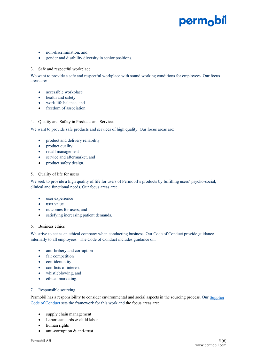- non-discrimination, and
- gender and disability diversity in senior positions.

#### 3. Safe and respectful workplace

We want to provide a safe and respectful workplace with sound working conditions for employees. Our focus areas are:

- accessible workplace
- health and safety
- work-life balance, and
- freedom of association.

#### 4. Quality and Safety in Products and Services

We want to provide safe products and services of high quality. Our focus areas are:

- product and delivery reliability
- product quality
- recall management
- service and aftermarket, and
- product safety design.

#### 5. Quality of life for users

We seek to provide a high quality of life for users of Permobil's products by fulfilling users' psycho-social, clinical and functional needs. Our focus areas are:

- user experience
- user value
- outcomes for users, and
- satisfying increasing patient demands.

#### 6. Business ethics

We strive to act as an ethical company when conducting business. Our Code of Conduct provide guidance internally to all employees. The Code of Conduct includes guidance on:

- anti-bribery and corruption
- fair competition
- confidentiality
- conflicts of interest
- whistleblowing, and
- ethical marketing.

#### 7. Responsible sourcing

Permobil has a responsibility to consider environmental and social aspects in the sourcing process. Our Supplier [Code of Conduct](https://permobilwebcdn.azureedge.net/media/afgnmwha/supplier-code-of-conduct_dec-2019.pdfv) sets the framework for this work and the focus areas are:

- supply chain management
- Labor standards & child labor
- human rights
- anti-corruption & anti-trust